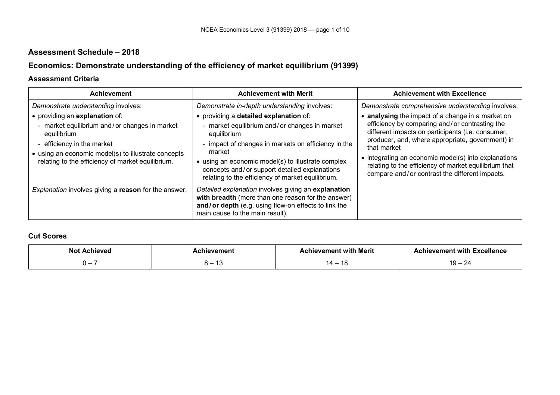## **Assessment Schedule – 2018**

# **Economics: Demonstrate understanding of the efficiency of market equilibrium (91399)**

#### **Assessment Criteria**

| <b>Achievement</b>                                                                                                                                                                                                                       | <b>Achievement with Merit</b>                                                                                                                                                                                                                                                                                                       | <b>Achievement with Excellence</b>                                                                                                                                                                                                                                                                                                                                                             |
|------------------------------------------------------------------------------------------------------------------------------------------------------------------------------------------------------------------------------------------|-------------------------------------------------------------------------------------------------------------------------------------------------------------------------------------------------------------------------------------------------------------------------------------------------------------------------------------|------------------------------------------------------------------------------------------------------------------------------------------------------------------------------------------------------------------------------------------------------------------------------------------------------------------------------------------------------------------------------------------------|
| Demonstrate understanding involves:                                                                                                                                                                                                      | Demonstrate in-depth understanding involves:                                                                                                                                                                                                                                                                                        | Demonstrate comprehensive understanding involves:                                                                                                                                                                                                                                                                                                                                              |
| • providing an explanation of:<br>- market equilibrium and/or changes in market<br>equilibrium<br>- efficiency in the market<br>• using an economic model(s) to illustrate concepts<br>relating to the efficiency of market equilibrium. | • providing a detailed explanation of:<br>- market equilibrium and/or changes in market<br>equilibrium<br>- impact of changes in markets on efficiency in the<br>market<br>• using an economic model(s) to illustrate complex<br>concepts and/or support detailed explanations<br>relating to the efficiency of market equilibrium. | • analysing the impact of a change in a market on<br>efficiency by comparing and/or contrasting the<br>different impacts on participants (i.e. consumer,<br>producer, and, where appropriate, government) in<br>that market<br>• integrating an economic model(s) into explanations<br>relating to the efficiency of market equilibrium that<br>compare and/or contrast the different impacts. |
| Explanation involves giving a reason for the answer.                                                                                                                                                                                     | Detailed explanation involves giving an explanation<br>with breadth (more than one reason for the answer)<br>and/or depth (e.g. using flow-on effects to link the<br>main cause to the main result).                                                                                                                                |                                                                                                                                                                                                                                                                                                                                                                                                |

### **Cut Scores**

| <b>Nc</b> | nen         | .<br>` with Merit<br>nen | .<br>evemer<br>ັ Excellenc⊾<br>l with |
|-----------|-------------|--------------------------|---------------------------------------|
|           | $\sim$<br>⊶ | ıд —                     | 1 N<br>~                              |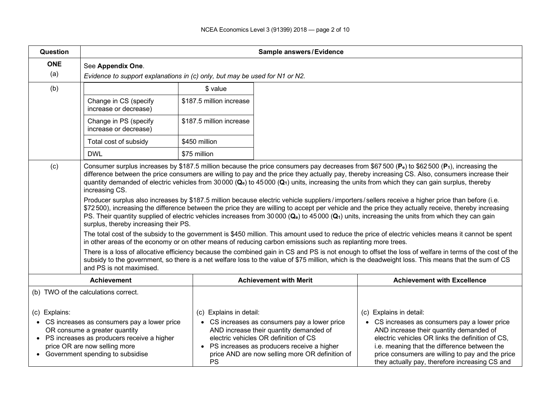| Question                                                                                                                                                                                                                                                       | Sample answers/Evidence                                                                                                                                                                                                                                                                                                                                                                                                                                                                                                                                                                                                                                                                                                                                                                                                                                                                                                                                                                                                                                                                                                                                                                                                                                                                                                                                                                                                                                                                                                                                                                                                          |                                      |                                                                                                                                                                                                                                      |                                                                                                                                                                                                                                                                                                                               |  |  |  |  |  |  |
|----------------------------------------------------------------------------------------------------------------------------------------------------------------------------------------------------------------------------------------------------------------|----------------------------------------------------------------------------------------------------------------------------------------------------------------------------------------------------------------------------------------------------------------------------------------------------------------------------------------------------------------------------------------------------------------------------------------------------------------------------------------------------------------------------------------------------------------------------------------------------------------------------------------------------------------------------------------------------------------------------------------------------------------------------------------------------------------------------------------------------------------------------------------------------------------------------------------------------------------------------------------------------------------------------------------------------------------------------------------------------------------------------------------------------------------------------------------------------------------------------------------------------------------------------------------------------------------------------------------------------------------------------------------------------------------------------------------------------------------------------------------------------------------------------------------------------------------------------------------------------------------------------------|--------------------------------------|--------------------------------------------------------------------------------------------------------------------------------------------------------------------------------------------------------------------------------------|-------------------------------------------------------------------------------------------------------------------------------------------------------------------------------------------------------------------------------------------------------------------------------------------------------------------------------|--|--|--|--|--|--|
| <b>ONE</b><br>(a)                                                                                                                                                                                                                                              | See Appendix One.<br>Evidence to support explanations in (c) only, but may be used for N1 or N2.                                                                                                                                                                                                                                                                                                                                                                                                                                                                                                                                                                                                                                                                                                                                                                                                                                                                                                                                                                                                                                                                                                                                                                                                                                                                                                                                                                                                                                                                                                                                 |                                      |                                                                                                                                                                                                                                      |                                                                                                                                                                                                                                                                                                                               |  |  |  |  |  |  |
| (b)                                                                                                                                                                                                                                                            | \$ value                                                                                                                                                                                                                                                                                                                                                                                                                                                                                                                                                                                                                                                                                                                                                                                                                                                                                                                                                                                                                                                                                                                                                                                                                                                                                                                                                                                                                                                                                                                                                                                                                         |                                      |                                                                                                                                                                                                                                      |                                                                                                                                                                                                                                                                                                                               |  |  |  |  |  |  |
|                                                                                                                                                                                                                                                                | Change in CS (specify<br>increase or decrease)                                                                                                                                                                                                                                                                                                                                                                                                                                                                                                                                                                                                                                                                                                                                                                                                                                                                                                                                                                                                                                                                                                                                                                                                                                                                                                                                                                                                                                                                                                                                                                                   | \$187.5 million increase             |                                                                                                                                                                                                                                      |                                                                                                                                                                                                                                                                                                                               |  |  |  |  |  |  |
|                                                                                                                                                                                                                                                                | Change in PS (specify<br>increase or decrease)                                                                                                                                                                                                                                                                                                                                                                                                                                                                                                                                                                                                                                                                                                                                                                                                                                                                                                                                                                                                                                                                                                                                                                                                                                                                                                                                                                                                                                                                                                                                                                                   | \$187.5 million increase             |                                                                                                                                                                                                                                      |                                                                                                                                                                                                                                                                                                                               |  |  |  |  |  |  |
|                                                                                                                                                                                                                                                                | Total cost of subsidy                                                                                                                                                                                                                                                                                                                                                                                                                                                                                                                                                                                                                                                                                                                                                                                                                                                                                                                                                                                                                                                                                                                                                                                                                                                                                                                                                                                                                                                                                                                                                                                                            | \$450 million                        |                                                                                                                                                                                                                                      |                                                                                                                                                                                                                                                                                                                               |  |  |  |  |  |  |
|                                                                                                                                                                                                                                                                | <b>DWL</b>                                                                                                                                                                                                                                                                                                                                                                                                                                                                                                                                                                                                                                                                                                                                                                                                                                                                                                                                                                                                                                                                                                                                                                                                                                                                                                                                                                                                                                                                                                                                                                                                                       | \$75 million                         |                                                                                                                                                                                                                                      |                                                                                                                                                                                                                                                                                                                               |  |  |  |  |  |  |
| (c)                                                                                                                                                                                                                                                            | Consumer surplus increases by \$187.5 million because the price consumers pay decreases from \$67 500 ( $P_e$ ) to \$62 500 ( $P_1$ ), increasing the<br>difference between the price consumers are willing to pay and the price they actually pay, thereby increasing CS. Also, consumers increase their<br>quantity demanded of electric vehicles from 30000 ( $\mathbf{Q}_e$ ) to 45000 ( $\mathbf{Q}_1$ ) units, increasing the units from which they can gain surplus, thereby<br>increasing CS.<br>Producer surplus also increases by \$187.5 million because electric vehicle suppliers/importers/sellers receive a higher price than before (i.e.<br>\$72500), increasing the difference between the price they are willing to accept per vehicle and the price they actually receive, thereby increasing<br>PS. Their quantity supplied of electric vehicles increases from 30000 (Qe) to 45000 (Q1) units, increasing the units from which they can gain<br>surplus, thereby increasing their PS.<br>The total cost of the subsidy to the government is \$450 million. This amount used to reduce the price of electric vehicles means it cannot be spent<br>in other areas of the economy or on other means of reducing carbon emissions such as replanting more trees.<br>There is a loss of allocative efficiency because the combined gain in CS and PS is not enough to offset the loss of welfare in terms of the cost of the<br>subsidy to the government, so there is a net welfare loss to the value of \$75 million, which is the deadweight loss. This means that the sum of CS<br>and PS is not maximised. |                                      |                                                                                                                                                                                                                                      |                                                                                                                                                                                                                                                                                                                               |  |  |  |  |  |  |
|                                                                                                                                                                                                                                                                | <b>Achievement</b>                                                                                                                                                                                                                                                                                                                                                                                                                                                                                                                                                                                                                                                                                                                                                                                                                                                                                                                                                                                                                                                                                                                                                                                                                                                                                                                                                                                                                                                                                                                                                                                                               |                                      | <b>Achievement with Merit</b>                                                                                                                                                                                                        | <b>Achievement with Excellence</b>                                                                                                                                                                                                                                                                                            |  |  |  |  |  |  |
| (b) TWO of the calculations correct.<br>(c) Explains:<br>• CS increases as consumers pay a lower price<br>OR consume a greater quantity<br>• PS increases as producers receive a higher<br>price OR are now selling more<br>• Government spending to subsidise |                                                                                                                                                                                                                                                                                                                                                                                                                                                                                                                                                                                                                                                                                                                                                                                                                                                                                                                                                                                                                                                                                                                                                                                                                                                                                                                                                                                                                                                                                                                                                                                                                                  | (c) Explains in detail:<br><b>PS</b> | • CS increases as consumers pay a lower price<br>AND increase their quantity demanded of<br>electric vehicles OR definition of CS<br>• PS increases as producers receive a higher<br>price AND are now selling more OR definition of | (c) Explains in detail:<br>• CS increases as consumers pay a lower price<br>AND increase their quantity demanded of<br>electric vehicles OR links the definition of CS,<br>i.e. meaning that the difference between the<br>price consumers are willing to pay and the price<br>they actually pay, therefore increasing CS and |  |  |  |  |  |  |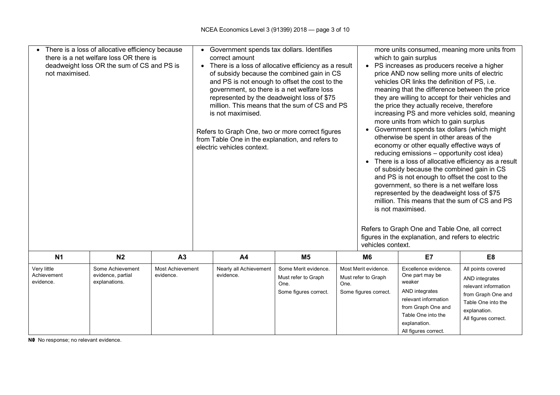| there is a net welfare loss OR there is<br>deadweight loss OR the sum of CS and PS is<br>not maximised.                                   |                | There is a loss of allocative efficiency because | $\bullet$                           | Government spends tax dollars. Identifies<br>correct amount<br>There is a loss of allocative efficiency as a result<br>of subsidy because the combined gain in CS<br>and PS is not enough to offset the cost to the<br>government, so there is a net welfare loss<br>represented by the deadweight loss of \$75<br>million. This means that the sum of CS and PS<br>is not maximised.<br>Refers to Graph One, two or more correct figures<br>from Table One in the explanation, and refers to<br>electric vehicles context. |                |                                                                      | more units consumed, meaning more units from<br>which to gain surplus<br>PS increases as producers receive a higher<br>$\bullet$<br>price AND now selling more units of electric<br>vehicles OR links the definition of PS, i.e.<br>meaning that the difference between the price<br>they are willing to accept for their vehicles and<br>the price they actually receive, therefore<br>increasing PS and more vehicles sold, meaning<br>more units from which to gain surplus<br>Government spends tax dollars (which might<br>otherwise be spent in other areas of the<br>economy or other equally effective ways of<br>reducing emissions - opportunity cost idea)<br>There is a loss of allocative efficiency as a result<br>of subsidy because the combined gain in CS<br>and PS is not enough to offset the cost to the<br>government, so there is a net welfare loss<br>represented by the deadweight loss of \$75<br>million. This means that the sum of CS and PS<br>is not maximised.<br>Refers to Graph One and Table One, all correct<br>figures in the explanation, and refers to electric<br>vehicles context. |                                                                                                                                                  |                |  |
|-------------------------------------------------------------------------------------------------------------------------------------------|----------------|--------------------------------------------------|-------------------------------------|-----------------------------------------------------------------------------------------------------------------------------------------------------------------------------------------------------------------------------------------------------------------------------------------------------------------------------------------------------------------------------------------------------------------------------------------------------------------------------------------------------------------------------|----------------|----------------------------------------------------------------------|------------------------------------------------------------------------------------------------------------------------------------------------------------------------------------------------------------------------------------------------------------------------------------------------------------------------------------------------------------------------------------------------------------------------------------------------------------------------------------------------------------------------------------------------------------------------------------------------------------------------------------------------------------------------------------------------------------------------------------------------------------------------------------------------------------------------------------------------------------------------------------------------------------------------------------------------------------------------------------------------------------------------------------------------------------------------------------------------------------------------------|--------------------------------------------------------------------------------------------------------------------------------------------------|----------------|--|
| N <sub>1</sub>                                                                                                                            | N <sub>2</sub> | A3                                               |                                     | A <sub>4</sub>                                                                                                                                                                                                                                                                                                                                                                                                                                                                                                              | M <sub>5</sub> |                                                                      | M <sub>6</sub>                                                                                                                                                                                                                                                                                                                                                                                                                                                                                                                                                                                                                                                                                                                                                                                                                                                                                                                                                                                                                                                                                                               | E7                                                                                                                                               | E <sub>8</sub> |  |
| Very little<br>Some Achievement<br><b>Most Achievement</b><br>evidence, partial<br>Achievement<br>evidence.<br>evidence.<br>explanations. |                |                                                  | Nearly all Achievement<br>evidence. | Some Merit evidence.<br>Must refer to Graph<br>One.<br>One.<br>Some figures correct.                                                                                                                                                                                                                                                                                                                                                                                                                                        |                | Most Merit evidence.<br>Must refer to Graph<br>Some figures correct. | Excellence evidence.<br>One part may be<br>weaker<br>AND integrates<br>relevant information<br>from Graph One and<br>Table One into the<br>explanation.<br>All figures correct.                                                                                                                                                                                                                                                                                                                                                                                                                                                                                                                                                                                                                                                                                                                                                                                                                                                                                                                                              | All points covered<br>AND integrates<br>relevant information<br>from Graph One and<br>Table One into the<br>explanation.<br>All figures correct. |                |  |

**N0** No response; no relevant evidence.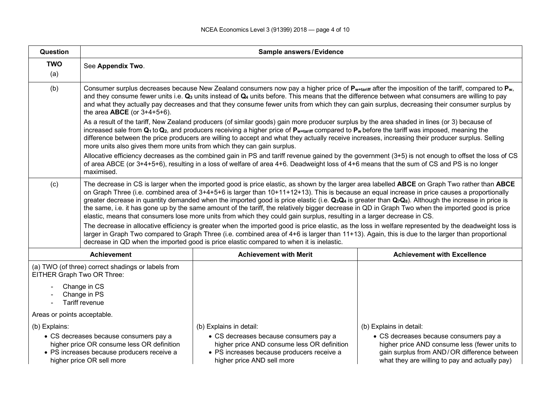| Question                                                                         | <b>Sample answers/Evidence</b>                                                                                                                                                                                                                                                                                                                                                                                                                                                                                                                                                                                                                                                                                                                                                                                                                                                                                                                                                                                                                                                                                                                                                                   |                                                                                                                                                                                                                                                                                                                                                                                                                                                                    |                                                                                                                                                                                                                     |  |  |  |  |  |  |  |
|----------------------------------------------------------------------------------|--------------------------------------------------------------------------------------------------------------------------------------------------------------------------------------------------------------------------------------------------------------------------------------------------------------------------------------------------------------------------------------------------------------------------------------------------------------------------------------------------------------------------------------------------------------------------------------------------------------------------------------------------------------------------------------------------------------------------------------------------------------------------------------------------------------------------------------------------------------------------------------------------------------------------------------------------------------------------------------------------------------------------------------------------------------------------------------------------------------------------------------------------------------------------------------------------|--------------------------------------------------------------------------------------------------------------------------------------------------------------------------------------------------------------------------------------------------------------------------------------------------------------------------------------------------------------------------------------------------------------------------------------------------------------------|---------------------------------------------------------------------------------------------------------------------------------------------------------------------------------------------------------------------|--|--|--|--|--|--|--|
| <b>TWO</b><br>(a)                                                                | See Appendix Two.                                                                                                                                                                                                                                                                                                                                                                                                                                                                                                                                                                                                                                                                                                                                                                                                                                                                                                                                                                                                                                                                                                                                                                                |                                                                                                                                                                                                                                                                                                                                                                                                                                                                    |                                                                                                                                                                                                                     |  |  |  |  |  |  |  |
| (b)                                                                              | Consumer surplus decreases because New Zealand consumers now pay a higher price of P <sub>w+tariff</sub> after the imposition of the tariff, compared to P <sub>w</sub> ,<br>and they consume fewer units i.e. $Q_3$ units instead of $Q_4$ units before. This means that the difference between what consumers are willing to pay<br>and what they actually pay decreases and that they consume fewer units from which they can gain surplus, decreasing their consumer surplus by<br>the area $ABCE$ (or $3+4+5+6$ ).                                                                                                                                                                                                                                                                                                                                                                                                                                                                                                                                                                                                                                                                          |                                                                                                                                                                                                                                                                                                                                                                                                                                                                    |                                                                                                                                                                                                                     |  |  |  |  |  |  |  |
|                                                                                  | more units also gives them more units from which they can gain surplus.                                                                                                                                                                                                                                                                                                                                                                                                                                                                                                                                                                                                                                                                                                                                                                                                                                                                                                                                                                                                                                                                                                                          | As a result of the tariff, New Zealand producers (of similar goods) gain more producer surplus by the area shaded in lines (or 3) because of<br>increased sale from $Q_1$ to $Q_2$ , and producers receiving a higher price of $P_{w\tt{ariff}}$ compared to $P_w$ before the tariff was imposed, meaning the<br>difference between the price producers are willing to accept and what they actually receive increases, increasing their producer surplus. Selling |                                                                                                                                                                                                                     |  |  |  |  |  |  |  |
|                                                                                  | Allocative efficiency decreases as the combined gain in PS and tariff revenue gained by the government (3+5) is not enough to offset the loss of CS<br>of area ABCE (or 3+4+5+6), resulting in a loss of welfare of area 4+6. Deadweight loss of 4+6 means that the sum of CS and PS is no longer<br>maximised.                                                                                                                                                                                                                                                                                                                                                                                                                                                                                                                                                                                                                                                                                                                                                                                                                                                                                  |                                                                                                                                                                                                                                                                                                                                                                                                                                                                    |                                                                                                                                                                                                                     |  |  |  |  |  |  |  |
| (c)                                                                              | The decrease in CS is larger when the imported good is price elastic, as shown by the larger area labelled ABCE on Graph Two rather than ABCE<br>on Graph Three (i.e. combined area of 3+4+5+6 is larger than 10+11+12+13). This is because an equal increase in price causes a proportionally<br>greater decrease in quantity demanded when the imported good is price elastic (i.e. Q <sub>3</sub> Q <sub>4</sub> is greater than Q <sub>7</sub> Q <sub>8</sub> ). Although the increase in price is<br>the same, i.e. it has gone up by the same amount of the tariff, the relatively bigger decrease in QD in Graph Two when the imported good is price<br>elastic, means that consumers lose more units from which they could gain surplus, resulting in a larger decrease in CS.<br>The decrease in allocative efficiency is greater when the imported good is price elastic, as the loss in welfare represented by the deadweight loss is<br>larger in Graph Two compared to Graph Three (i.e. combined area of 4+6 is larger than 11+13). Again, this is due to the larger than proportional<br>decrease in QD when the imported good is price elastic compared to when it is inelastic. |                                                                                                                                                                                                                                                                                                                                                                                                                                                                    |                                                                                                                                                                                                                     |  |  |  |  |  |  |  |
|                                                                                  | <b>Achievement</b>                                                                                                                                                                                                                                                                                                                                                                                                                                                                                                                                                                                                                                                                                                                                                                                                                                                                                                                                                                                                                                                                                                                                                                               | <b>Achievement with Merit</b>                                                                                                                                                                                                                                                                                                                                                                                                                                      | <b>Achievement with Excellence</b>                                                                                                                                                                                  |  |  |  |  |  |  |  |
| (a) TWO (of three) correct shadings or labels from<br>EITHER Graph Two OR Three: |                                                                                                                                                                                                                                                                                                                                                                                                                                                                                                                                                                                                                                                                                                                                                                                                                                                                                                                                                                                                                                                                                                                                                                                                  |                                                                                                                                                                                                                                                                                                                                                                                                                                                                    |                                                                                                                                                                                                                     |  |  |  |  |  |  |  |
|                                                                                  | Change in CS<br>Change in PS<br>Tariff revenue                                                                                                                                                                                                                                                                                                                                                                                                                                                                                                                                                                                                                                                                                                                                                                                                                                                                                                                                                                                                                                                                                                                                                   |                                                                                                                                                                                                                                                                                                                                                                                                                                                                    |                                                                                                                                                                                                                     |  |  |  |  |  |  |  |
|                                                                                  | Areas or points acceptable.                                                                                                                                                                                                                                                                                                                                                                                                                                                                                                                                                                                                                                                                                                                                                                                                                                                                                                                                                                                                                                                                                                                                                                      |                                                                                                                                                                                                                                                                                                                                                                                                                                                                    |                                                                                                                                                                                                                     |  |  |  |  |  |  |  |
| (b) Explains:                                                                    | • CS decreases because consumers pay a<br>higher price OR consume less OR definition<br>• PS increases because producers receive a<br>higher price OR sell more                                                                                                                                                                                                                                                                                                                                                                                                                                                                                                                                                                                                                                                                                                                                                                                                                                                                                                                                                                                                                                  | (b) Explains in detail:<br>• CS decreases because consumers pay a<br>higher price AND consume less OR definition<br>· PS increases because producers receive a<br>higher price AND sell more                                                                                                                                                                                                                                                                       | (b) Explains in detail:<br>• CS decreases because consumers pay a<br>higher price AND consume less (fewer units to<br>gain surplus from AND/OR difference between<br>what they are willing to pay and actually pay) |  |  |  |  |  |  |  |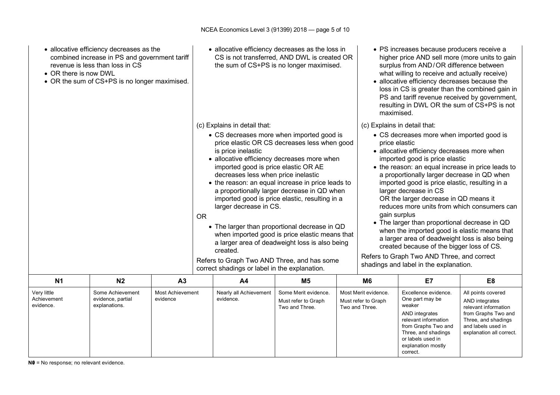| • allocative efficiency decreases as the<br>combined increase in PS and government tariff<br>revenue is less than loss in CS<br>• OR there is now DWL<br>• OR the sum of CS+PS is no longer maximised. |                |                                                                                                      | • allocative efficiency decreases as the loss in<br>CS is not transferred, AND DWL is created OR<br>the sum of CS+PS is no longer maximised.                                                                                                                                                                                                                                                                                                                                                                                                                                                                                                                                        |                                                                                                                                                                                                            |                |                                                                                                                                                              | • PS increases because producers receive a<br>higher price AND sell more (more units to gain<br>surplus from AND/OR difference between<br>what willing to receive and actually receive)<br>• allocative efficiency decreases because the<br>loss in CS is greater than the combined gain in<br>PS and tariff revenue received by government,<br>resulting in DWL OR the sum of CS+PS is not<br>maximised.                                                                                                                                                                                                                                                                                                                                                  |    |                |  |
|--------------------------------------------------------------------------------------------------------------------------------------------------------------------------------------------------------|----------------|------------------------------------------------------------------------------------------------------|-------------------------------------------------------------------------------------------------------------------------------------------------------------------------------------------------------------------------------------------------------------------------------------------------------------------------------------------------------------------------------------------------------------------------------------------------------------------------------------------------------------------------------------------------------------------------------------------------------------------------------------------------------------------------------------|------------------------------------------------------------------------------------------------------------------------------------------------------------------------------------------------------------|----------------|--------------------------------------------------------------------------------------------------------------------------------------------------------------|------------------------------------------------------------------------------------------------------------------------------------------------------------------------------------------------------------------------------------------------------------------------------------------------------------------------------------------------------------------------------------------------------------------------------------------------------------------------------------------------------------------------------------------------------------------------------------------------------------------------------------------------------------------------------------------------------------------------------------------------------------|----|----------------|--|
|                                                                                                                                                                                                        |                |                                                                                                      | (c) Explains in detail that:<br>• CS decreases more when imported good is<br>price elastic OR CS decreases less when good<br>is price inelastic<br>• allocative efficiency decreases more when<br>imported good is price elastic OR AE<br>decreases less when price inelastic<br>• the reason: an equal increase in price leads to<br>a proportionally larger decrease in QD when<br>imported good is price elastic, resulting in a<br>larger decrease in CS.<br>OR<br>• The larger than proportional decrease in QD<br>when imported good is price elastic means that<br>a larger area of deadweight loss is also being<br>created.<br>Refers to Graph Two AND Three, and has some |                                                                                                                                                                                                            |                |                                                                                                                                                              | (c) Explains in detail that:<br>• CS decreases more when imported good is<br>price elastic<br>• allocative efficiency decreases more when<br>imported good is price elastic<br>• the reason: an equal increase in price leads to<br>a proportionally larger decrease in QD when<br>imported good is price elastic, resulting in a<br>larger decrease in CS<br>OR the larger decrease in QD means it<br>reduces more units from which consumers can<br>gain surplus<br>• The larger than proportional decrease in QD<br>when the imported good is elastic means that<br>a larger area of deadweight loss is also being<br>created because of the bigger loss of CS.<br>Refers to Graph Two AND Three, and correct<br>shadings and label in the explanation. |    |                |  |
| <b>N1</b>                                                                                                                                                                                              | N <sub>2</sub> | A <sub>3</sub>                                                                                       |                                                                                                                                                                                                                                                                                                                                                                                                                                                                                                                                                                                                                                                                                     | A <sub>4</sub>                                                                                                                                                                                             | M <sub>5</sub> |                                                                                                                                                              | M <sub>6</sub>                                                                                                                                                                                                                                                                                                                                                                                                                                                                                                                                                                                                                                                                                                                                             | E7 | E <sub>8</sub> |  |
| Some Achievement<br>Very little<br><b>Most Achievement</b><br>Achievement<br>evidence, partial<br>evidence<br>evidence.<br>explanations.                                                               |                | Nearly all Achievement<br>Some Merit evidence.<br>evidence.<br>Must refer to Graph<br>Two and Three. |                                                                                                                                                                                                                                                                                                                                                                                                                                                                                                                                                                                                                                                                                     | Excellence evidence.<br>Most Merit evidence.<br>One part may be<br>Must refer to Graph<br>weaker<br>Two and Three.<br>AND integrates<br>relevant information<br>from Graphs Two and<br>Three, and shadings |                | All points covered<br>AND integrates<br>relevant information<br>from Graphs Two and<br>Three, and shadings<br>and labels used in<br>explanation all correct. |                                                                                                                                                                                                                                                                                                                                                                                                                                                                                                                                                                                                                                                                                                                                                            |    |                |  |

or labels used in explanation mostly

correct.

**N0** = No response; no relevant evidence.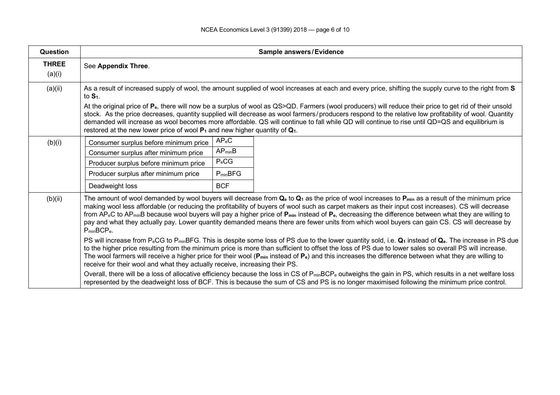| <b>Question</b>        | <b>Sample answers/Evidence</b>                                                                                                                                                                                                                                                                                                                                                                                                                                                                                                                                                                                                                                                                         |              |                                                                                                                                                                                                                                                                                                                                 |  |  |  |  |  |  |
|------------------------|--------------------------------------------------------------------------------------------------------------------------------------------------------------------------------------------------------------------------------------------------------------------------------------------------------------------------------------------------------------------------------------------------------------------------------------------------------------------------------------------------------------------------------------------------------------------------------------------------------------------------------------------------------------------------------------------------------|--------------|---------------------------------------------------------------------------------------------------------------------------------------------------------------------------------------------------------------------------------------------------------------------------------------------------------------------------------|--|--|--|--|--|--|
| <b>THREE</b><br>(a)(i) | See Appendix Three.                                                                                                                                                                                                                                                                                                                                                                                                                                                                                                                                                                                                                                                                                    |              |                                                                                                                                                                                                                                                                                                                                 |  |  |  |  |  |  |
| (a)(ii)                | As a result of increased supply of wool, the amount supplied of wool increases at each and every price, shifting the supply curve to the right from S<br>to $S1$ .<br>At the original price of P <sub>e</sub> , there will now be a surplus of wool as QS>QD. Farmers (wool producers) will reduce their price to get rid of their unsold<br>stock. As the price decreases, quantity supplied will decrease as wool farmers/producers respond to the relative low profitability of wool. Quantity                                                                                                                                                                                                      |              |                                                                                                                                                                                                                                                                                                                                 |  |  |  |  |  |  |
|                        | demanded will increase as wool becomes more affordable. QS will continue to fall while QD will continue to rise until QD=QS and equilibrium is<br>restored at the new lower price of wool $P_1$ and new higher quantity of $Q_1$ .                                                                                                                                                                                                                                                                                                                                                                                                                                                                     |              |                                                                                                                                                                                                                                                                                                                                 |  |  |  |  |  |  |
| (b)(i)                 | Consumer surplus before minimum price                                                                                                                                                                                                                                                                                                                                                                                                                                                                                                                                                                                                                                                                  | $AP_eC$      |                                                                                                                                                                                                                                                                                                                                 |  |  |  |  |  |  |
|                        | Consumer surplus after minimum price                                                                                                                                                                                                                                                                                                                                                                                                                                                                                                                                                                                                                                                                   | $AP_{min}B$  |                                                                                                                                                                                                                                                                                                                                 |  |  |  |  |  |  |
|                        | Producer surplus before minimum price                                                                                                                                                                                                                                                                                                                                                                                                                                                                                                                                                                                                                                                                  | $P_eCG$      |                                                                                                                                                                                                                                                                                                                                 |  |  |  |  |  |  |
|                        | Producer surplus after minimum price                                                                                                                                                                                                                                                                                                                                                                                                                                                                                                                                                                                                                                                                   | $P_{min}BFG$ |                                                                                                                                                                                                                                                                                                                                 |  |  |  |  |  |  |
|                        | Deadweight loss                                                                                                                                                                                                                                                                                                                                                                                                                                                                                                                                                                                                                                                                                        | <b>BCF</b>   |                                                                                                                                                                                                                                                                                                                                 |  |  |  |  |  |  |
| (b)(ii)                | The amount of wool demanded by wool buyers will decrease from Q <sub>e</sub> to Q <sub>1</sub> as the price of wool increases to P <sub>min</sub> as a result of the minimum price<br>making wool less affordable (or reducing the profitability of buyers of wool such as carpet makers as their input cost increases). CS will decrease<br>from AP <sub>e</sub> C to AP <sub>min</sub> B because wool buyers will pay a higher price of $P_{min}$ instead of $P_e$ , decreasing the difference between what they are willing to<br>pay and what they actually pay. Lower quantity demanded means there are fewer units from which wool buyers can gain CS. CS will decrease by<br>$P_{min}BCP_{e}$ . |              |                                                                                                                                                                                                                                                                                                                                 |  |  |  |  |  |  |
|                        | PS will increase from P <sub>e</sub> CG to P <sub>min</sub> BFG. This is despite some loss of PS due to the lower quantity sold, i.e. Q <sub>1</sub> instead of Q <sub>e</sub> . The increase in PS due<br>to the higher price resulting from the minimum price is more than sufficient to offset the loss of PS due to lower sales so overall PS will increase.<br>The wool farmers will receive a higher price for their wool ( $P_{min}$ instead of $P_e$ ) and this increases the difference between what they are willing to<br>receive for their wool and what they actually receive, increasing their PS.                                                                                       |              |                                                                                                                                                                                                                                                                                                                                 |  |  |  |  |  |  |
|                        |                                                                                                                                                                                                                                                                                                                                                                                                                                                                                                                                                                                                                                                                                                        |              | Overall, there will be a loss of allocative efficiency because the loss in CS of P <sub>min</sub> BCP <sub>e</sub> outweighs the gain in PS, which results in a net welfare loss<br>represented by the deadweight loss of BCF. This is because the sum of CS and PS is no longer maximised following the minimum price control. |  |  |  |  |  |  |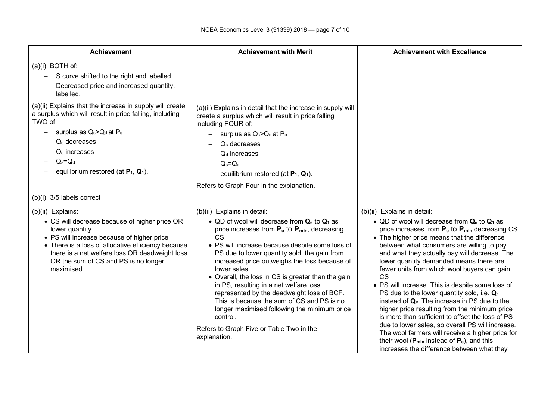| <b>Achievement</b>                                                                                                                                                                                                                                                                                                                                                                          | <b>Achievement with Merit</b>                                                                                                                                                                                                                                                                                                                                                                                                                                                                                                                                                                                                          | <b>Achievement with Excellence</b>                                                                                                                                                                                                                                                                                                                                                                                                                                                                                                                                                                                                                                                                                                                                                                                                                                                                            |  |  |  |
|---------------------------------------------------------------------------------------------------------------------------------------------------------------------------------------------------------------------------------------------------------------------------------------------------------------------------------------------------------------------------------------------|----------------------------------------------------------------------------------------------------------------------------------------------------------------------------------------------------------------------------------------------------------------------------------------------------------------------------------------------------------------------------------------------------------------------------------------------------------------------------------------------------------------------------------------------------------------------------------------------------------------------------------------|---------------------------------------------------------------------------------------------------------------------------------------------------------------------------------------------------------------------------------------------------------------------------------------------------------------------------------------------------------------------------------------------------------------------------------------------------------------------------------------------------------------------------------------------------------------------------------------------------------------------------------------------------------------------------------------------------------------------------------------------------------------------------------------------------------------------------------------------------------------------------------------------------------------|--|--|--|
| $(a)(i)$ BOTH of:<br>S curve shifted to the right and labelled<br>Decreased price and increased quantity,<br>labelled.<br>(a)(ii) Explains that the increase in supply will create<br>a surplus which will result in price falling, including<br>TWO of:<br>surplus as $Q_s > Q_d$ at $P_e$<br>$Qs$ decreases<br>$Qd$ increases<br>$Q_s = Q_d$<br>equilibrium restored (at $P_1$ , $Q_1$ ). | (a)(ii) Explains in detail that the increase in supply will<br>create a surplus which will result in price falling<br>including FOUR of:<br>surplus as Q <sub>s</sub> >Q <sub>d</sub> at P <sub>e</sub><br>$\equiv$<br>$Qs$ decreases<br>$Qd$ increases<br>$Q_s = Q_d$<br>equilibrium restored (at $P_1$ , $Q_1$ ).<br>Refers to Graph Four in the explanation.                                                                                                                                                                                                                                                                        |                                                                                                                                                                                                                                                                                                                                                                                                                                                                                                                                                                                                                                                                                                                                                                                                                                                                                                               |  |  |  |
| (b)(i) 3/5 labels correct                                                                                                                                                                                                                                                                                                                                                                   |                                                                                                                                                                                                                                                                                                                                                                                                                                                                                                                                                                                                                                        |                                                                                                                                                                                                                                                                                                                                                                                                                                                                                                                                                                                                                                                                                                                                                                                                                                                                                                               |  |  |  |
| (b)(ii) Explains:<br>• CS will decrease because of higher price OR<br>lower quantity<br>• PS will increase because of higher price<br>• There is a loss of allocative efficiency because<br>there is a net welfare loss OR deadweight loss<br>OR the sum of CS and PS is no longer<br>maximised.                                                                                            | (b)(ii) Explains in detail:<br>• QD of wool will decrease from Qe to Q1 as<br>price increases from $P_e$ to $P_{min}$ , decreasing<br><b>CS</b><br>• PS will increase because despite some loss of<br>PS due to lower quantity sold, the gain from<br>increased price outweighs the loss because of<br>lower sales<br>• Overall, the loss in CS is greater than the gain<br>in PS, resulting in a net welfare loss<br>represented by the deadweight loss of BCF.<br>This is because the sum of CS and PS is no<br>longer maximised following the minimum price<br>control.<br>Refers to Graph Five or Table Two in the<br>explanation. | (b)(ii) Explains in detail:<br>• QD of wool will decrease from Q <sub>e</sub> to Q <sub>1</sub> as<br>price increases from $P_e$ to $P_{min}$ decreasing CS<br>• The higher price means that the difference<br>between what consumers are willing to pay<br>and what they actually pay will decrease. The<br>lower quantity demanded means there are<br>fewer units from which wool buyers can gain<br><b>CS</b><br>• PS will increase. This is despite some loss of<br>PS due to the lower quantity sold, i.e. Q <sub>1</sub><br>instead of Q <sub>e</sub> . The increase in PS due to the<br>higher price resulting from the minimum price<br>is more than sufficient to offset the loss of PS<br>due to lower sales, so overall PS will increase.<br>The wool farmers will receive a higher price for<br>their wool ( $P_{min}$ instead of $P_e$ ), and this<br>increases the difference between what they |  |  |  |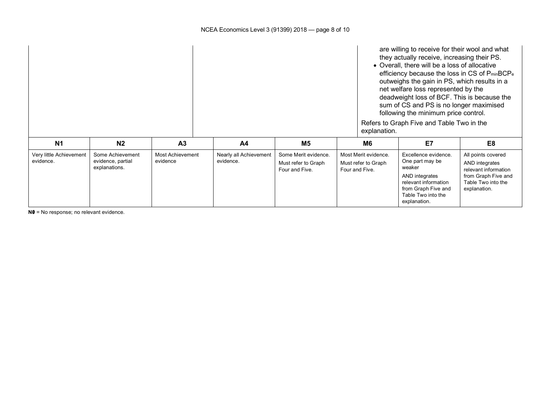|                                      |                                                        |                                     | explanation.                        | are willing to receive for their wool and what<br>they actually receive, increasing their PS.<br>• Overall, there will be a loss of allocative<br>efficiency because the loss in CS of P <sub>min</sub> BCP <sub>e</sub><br>outweighs the gain in PS, which results in a<br>net welfare loss represented by the<br>deadweight loss of BCF. This is because the<br>sum of CS and PS is no longer maximised<br>following the minimum price control.<br>Refers to Graph Five and Table Two in the |                                                               |                                                                                                                                                          |                                                                                                                           |
|--------------------------------------|--------------------------------------------------------|-------------------------------------|-------------------------------------|------------------------------------------------------------------------------------------------------------------------------------------------------------------------------------------------------------------------------------------------------------------------------------------------------------------------------------------------------------------------------------------------------------------------------------------------------------------------------------------------|---------------------------------------------------------------|----------------------------------------------------------------------------------------------------------------------------------------------------------|---------------------------------------------------------------------------------------------------------------------------|
| N <sub>1</sub>                       | N <sub>2</sub>                                         | A <sub>3</sub>                      | A <sub>4</sub>                      | M5                                                                                                                                                                                                                                                                                                                                                                                                                                                                                             | M <sub>6</sub>                                                | E7                                                                                                                                                       | E <sub>8</sub>                                                                                                            |
| Very little Achievement<br>evidence. | Some Achievement<br>evidence, partial<br>explanations. | <b>Most Achievement</b><br>evidence | Nearly all Achievement<br>evidence. | Some Merit evidence.<br>Must refer to Graph<br>Four and Five.                                                                                                                                                                                                                                                                                                                                                                                                                                  | Most Merit evidence.<br>Must refer to Graph<br>Four and Five. | Excellence evidence.<br>One part may be<br>weaker<br>AND integrates<br>relevant information<br>from Graph Five and<br>Table Two into the<br>explanation. | All points covered<br>AND integrates<br>relevant information<br>from Graph Five and<br>Table Two into the<br>explanation. |

**N0** = No response; no relevant evidence.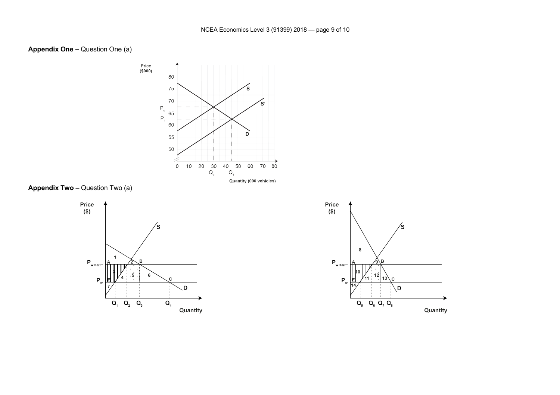#### **Appendix One –** Question One (a)



**Appendix Two** – Question Two (a)